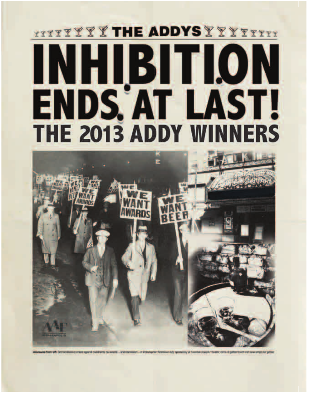### TITTY Y Y Y THE ADDYS Y Y Y Y Y Y Y Y Y INHIBITION ENDS AT LAST! **THE 2013 ADDY WINNERS**

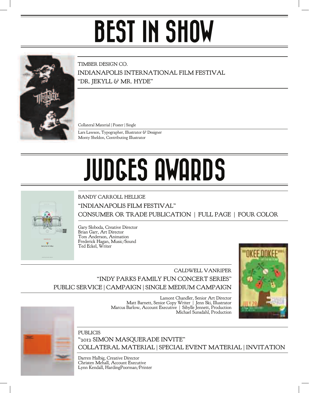# BEST IN SHOW



TIMBER DESIGN CO. INDIANAPOLIS INTERNATIONAL FILM FESTIVAL "DR. JEKYLL & MR. HYDE"

Collateral Material | Poster | Single

Monty Sheldon, Contributing Illustrator Lars Lawson, Typographer, Illustrator & Designer

# JUDGES AWARDS

BANDY CARROLL HELLIGE

"INDIANAPOLIS FILM FESTIVAL"

CONSUMER OR TRADE PUBLICATION | FULL PAGE | FOUR COLOR

Gary Sloboda, Creative Director Brian Garr, Art Director Tom Anderson, Animation Frederick Hagan, Music/Sound Ted Eckel, Writer

#### CALDWELL VANRIPER "INDY PARKS FAMILY FUN CONCERT SERIES" PUBLIC SERVICE | CAMPAIGN | SINGLE MEDIUM CAMPAIGN

Lamont Chandler, Senior Art Director Matt Barnett, Senior Copy Writer | Jenn Ski, Illustrator Marcus Barlow, Account Executive | Sibylle Jennett, Production Michael Sunsdahl, Production





#### PUBLICIS "2012 SIMON MASQUERADE INVITE" COLLATERAL MATERIAL | SPECIAL EVENT MATERIAL | INVITATION

Darren Halbig, Creative Director Christen Mehall, Account Executive Lynn Kendall, HardingPoorman/Printer

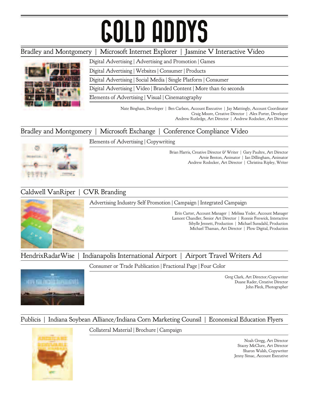# GOLD ADDYS

### Bradley and Montgomery | Microsoft Internet Explorer | Jasmine V Interactive Video Digital Advertising | Advertising and Promotion | Games Digital Advertising | Websites | Consumer | Products Digital Advertising | Social Media | Single Platform | Consumer Digital Advertising | Video | Branded Content | More than 60 seconds Elements of Advertising | Visual | Cinematography Nate Bingham, Developer | Ben Carlson, Account Executive | Jay Mattingly, Account Coordinator Craig Moore, Creative Director | Alex Porter, Developer Andrew Rutledge, Art Director | Andrew Rodocker, Art Director

#### Bradley and Montgomery | Microsoft Exchange | Conference Compliance Video



Elements of Advertising | Copywriting

Brian Harris, Creative Director & Writer | Gary Paultre, Art Director Arnie Benton, Animator | Ian Dillingham, Animator Andrew Rodocker, Art Director | Christina Ripley, Writer

### Caldwell VanRiper | CVR Branding

Advertising Industry Self Promotion | Campaign | Integrated Campaign



Erin Carter, Account Manager | Melissa Yoder, Account Manager Lamont Chandler, Senior Art Director | Ronnie Fenwick, Interactive Sibylle Jennett, Production | Michael Sunsdahl, Production Michael Thaman, Art Director | Plow Digital, Production

HendrixRadarWise | Indianapolis International Airport | Airport Travel Writers Ad

Consumer or Trade Publication | Fractional Page | Four Color



Greg Clark, Art Director/Copywriter Duane Rader, Creative Director John Fleck, Photographer

#### Publicis | Indiana Soybean Alliance/Indiana Corn Marketing Counsil | Economical Education Flyers



Collateral Material | Brochure | Campaign

Noah Gregg, Art Director Stacey McClure, Art Director Sharon Walsh, Copywriter Jenny Simac, Account Executive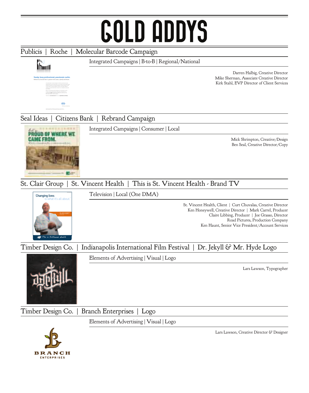## GOLD ADDYS



BRANCH **ENTERPRISES**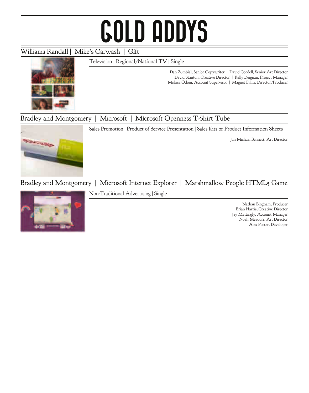# GOLD ADDYS

#### Williams Randall | Mike's Carwash | Gift

Television | Regional/National TV | Single



Dan Zumbiel, Senior Copywriter | David Cordell, Senior Art Director David Stanton, Creative Director | Kelly Deignan, Project Manager Melissa Odom, Account Supervisor | Magnet Films, Director/Producer

#### Bradley and Montgomery | Microsoft | Microsoft Openness T-Shirt Tube





Jan Michael Bennett, Art Director

### Bradley and Montgomery | Microsoft Internet Explorer | Marshmallow People HTML5 Game

Non-Traditional Advertising | Single

Nathan Bingham, Producer Brian Harris, Creative Director Jay Mattingly, Account Manager Noah Meadors, Art Director Alex Porter, Developer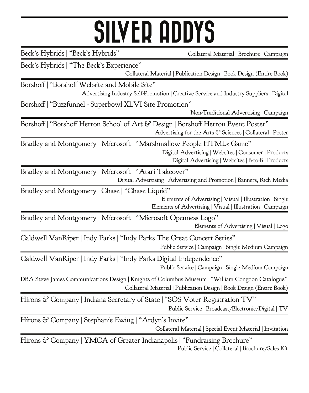### SILVER ADDYS

Beck's Hybrids | "Beck's Hybrids" Collateral Material | Brochure | Campaign

Beck's Hybrids | "The Beck's Experience"

Collateral Material | Publication Design | Book Design (Entire Book)

Borshoff | "Borshoff Website and Mobile Site" Advertising Industry Self-Promotion | Creative Service and Industry Suppliers | Digital

Borshoff | "Buzzfunnel - Superbowl XLVI Site Promotion"

Non-Traditional Advertising | Campaign

Borshoff | "Borshoff Herron School of Art & Design | Borshoff Herron Event Poster" Advertising for the Arts & Sciences | Collateral | Poster

Bradley and Montgomery | Microsoft | "Marshmallow People HTML5 Game" Digital Advertising | Websites | Consumer | Products Digital Advertising | Websites | B-to-B | Products

Bradley and Montgomery | Microsoft | "Atari Takeover" Digital Advertising | Advertising and Promotion | Banners, Rich Media

Bradley and Montgomery | Chase | "Chase Liquid"

Elements of Advertising | Visual | Illustration | Single Elements of Advertising | Visual | Illustration | Campaign

Bradley and Montgomery | Microsoft | "Microsoft Openness Logo" Elements of Advertising | Visual | Logo

Caldwell VanRiper | Indy Parks | "Indy Parks The Great Concert Series" Public Service | Campaign | Single Medium Campaign

Public Service | Campaign | Single Medium Campaign Caldwell VanRiper | Indy Parks | "Indy Parks Digital Independence"

DBA Steve James Communications Design | Knights of Columbus Museum | "William Congdon Catalogue" Collateral Material | Publication Design | Book Design (Entire Book)

Hirons & Company | Indiana Secretary of State | "SOS Voter Registration TV" Public Service | Broadcast/Electronic/Digital | TV

Hirons & Company | Stephanie Ewing | "Ardyn's Invite" Collateral Material | Special Event Material | Invitation

Hirons & Company | YMCA of Greater Indianapolis | "Fundraising Brochure" Public Service | Collateral | Brochure/Sales Kit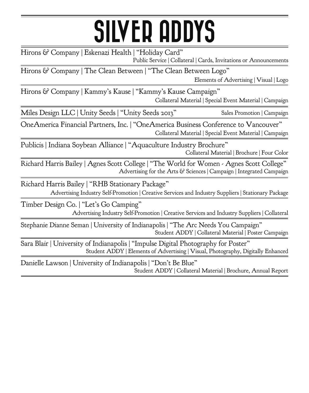## SILVER ADDYS

Hirons & Company | Eskenazi Health | "Holiday Card" Public Service | Collateral | Cards, Invitations or Announcements

Hirons & Company | The Clean Between | "The Clean Between Logo" Elements of Advertising | Visual | Logo

Collateral Material | Special Event Material | Campaign Hirons & Company | Kammy's Kause | "Kammy's Kause Campaign"

Miles Design LLC | Unity Seeds | "Unity Seeds 2013" Sales Promotion | Campaign

OneAmerica Financial Partners, Inc. | "OneAmerica Business Conference to Vancouver" Collateral Material | Special Event Material | Campaign

Publicis | Indiana Soybean Alliance | "Aquaculture Industry Brochure" Collateral Material | Brochure | Four Color

Richard Harris Bailey | Agnes Scott College | "The World for Women - Agnes Scott College" Advertising for the Arts & Sciences | Campaign | Integrated Campaign

Richard Harris Bailey | "RHB Stationary Package"

Advertising Industry Self-Promotion | Creative Services and Industry Suppliers | Stationary Package

Timber Design Co. | "Let's Go Camping" Advertising Industry Self-Promotion | Creative Services and Industry Suppliers | Collateral

Stephanie Dianne Seman | University of Indianapolis | "The Arc Needs You Campaign" Student ADDY | Collateral Material | Poster Campaign

Sara Blair | University of Indianapolis | "Impulse Digital Photography for Poster" Student ADDY | Elements of Advertising | Visual, Photography, Digitally Enhanced

Danielle Lawson | University of Indianapolis | "Don't Be Blue" Student ADDY | Collateral Material | Brochure, Annual Report